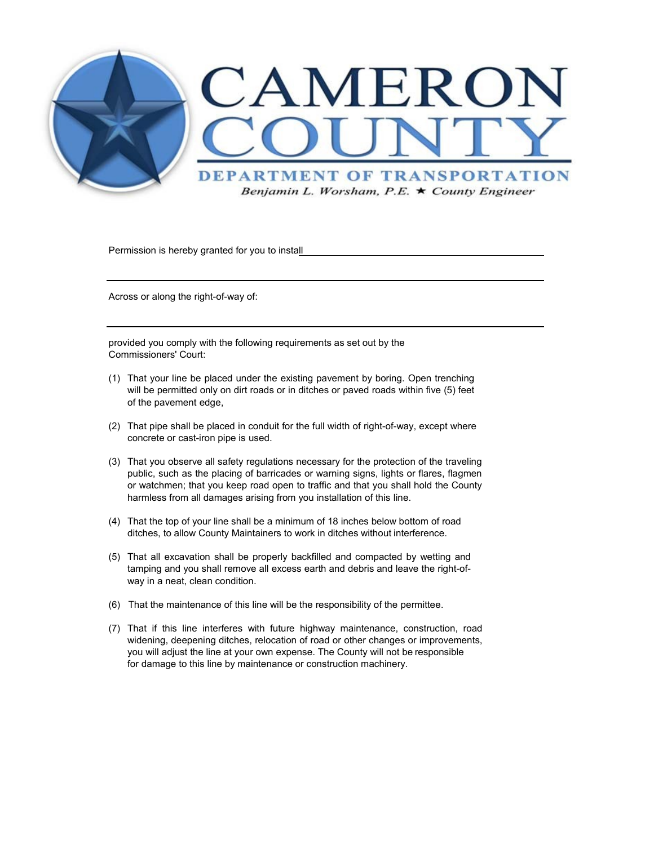

Permission is hereby granted for you to install

Across or along the right-of-way of:

provided you comply with the following requirements as set out by the Commissioners' Court:

- (1) That your line be placed under the existing pavement by boring. Open trenching will be permitted only on dirt roads or in ditches or paved roads within five (5) feet of the pavement edge,
- (2) That pipe shall be placed in conduit for the full width of right-of-way, except where concrete or cast-iron pipe is used.
- (3) That you observe all safety regulations necessary for the protection of the traveling public, such as the placing of barricades or warning signs, lights or flares, flagmen or watchmen; that you keep road open to traffic and that you shall hold the County harmless from all damages arising from you installation of this line.
- (4) That the top of your line shall be a minimum of 18 inches below bottom of road ditches, to allow County Maintainers to work in ditches without interference.
- (5) That all excavation shall be properly backfilled and compacted by wetting and tamping and you shall remove all excess earth and debris and leave the right-ofway in a neat, clean condition.
- (6) That the maintenance of this line will be the responsibility of the permittee.
- (7) That if this line interferes with future highway maintenance, construction, road widening, deepening ditches, relocation of road or other changes or improvements, you will adjust the line at your own expense. The County will not be responsible for damage to this line by maintenance or construction machinery.